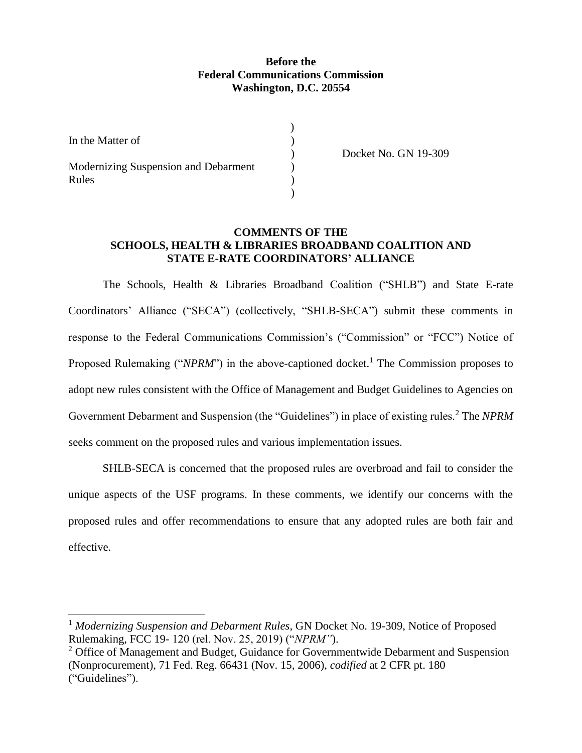#### **Before the Federal Communications Commission Washington, D.C. 20554**

| In the Matter of                              |  |
|-----------------------------------------------|--|
| Modernizing Suspension and Debarment<br>Rules |  |

l

) Docket No. GN 19-309

#### **COMMENTS OF THE SCHOOLS, HEALTH & LIBRARIES BROADBAND COALITION AND STATE E-RATE COORDINATORS' ALLIANCE**

The Schools, Health & Libraries Broadband Coalition ("SHLB") and State E-rate Coordinators' Alliance ("SECA") (collectively, "SHLB-SECA") submit these comments in response to the Federal Communications Commission's ("Commission" or "FCC") Notice of Proposed Rulemaking ("*NPRM*") in the above-captioned docket.<sup>1</sup> The Commission proposes to adopt new rules consistent with the Office of Management and Budget Guidelines to Agencies on Government Debarment and Suspension (the "Guidelines") in place of existing rules.<sup>2</sup> The *NPRM* seeks comment on the proposed rules and various implementation issues.

SHLB-SECA is concerned that the proposed rules are overbroad and fail to consider the unique aspects of the USF programs. In these comments, we identify our concerns with the proposed rules and offer recommendations to ensure that any adopted rules are both fair and effective.

<sup>&</sup>lt;sup>1</sup> Modernizing Suspension and Debarment Rules, GN Docket No. 19-309, Notice of Proposed Rulemaking, FCC 19- 120 (rel. Nov. 25, 2019) ("*NPRM"*).

<sup>&</sup>lt;sup>2</sup> Office of Management and Budget, Guidance for Governmentwide Debarment and Suspension (Nonprocurement), 71 Fed. Reg. 66431 (Nov. 15, 2006), *codified* at 2 CFR pt. 180 ("Guidelines").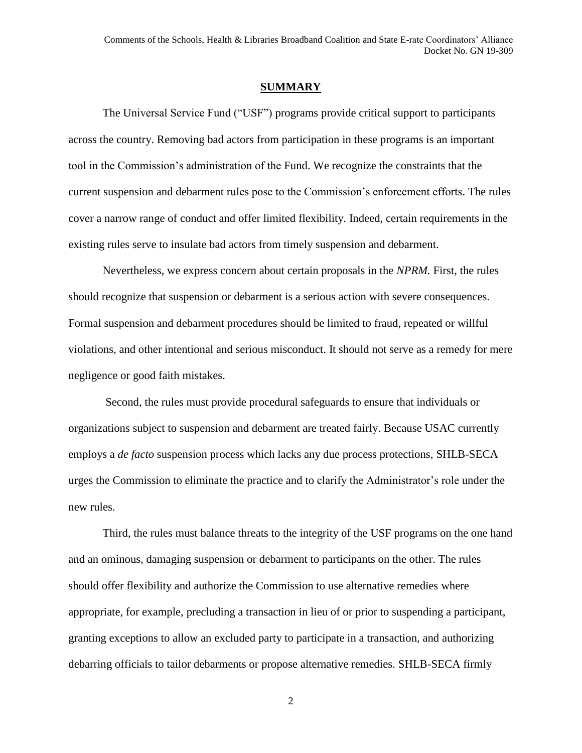#### **SUMMARY**

The Universal Service Fund ("USF") programs provide critical support to participants across the country. Removing bad actors from participation in these programs is an important tool in the Commission's administration of the Fund. We recognize the constraints that the current suspension and debarment rules pose to the Commission's enforcement efforts. The rules cover a narrow range of conduct and offer limited flexibility. Indeed, certain requirements in the existing rules serve to insulate bad actors from timely suspension and debarment.

Nevertheless, we express concern about certain proposals in the *NPRM.* First, the rules should recognize that suspension or debarment is a serious action with severe consequences. Formal suspension and debarment procedures should be limited to fraud, repeated or willful violations, and other intentional and serious misconduct. It should not serve as a remedy for mere negligence or good faith mistakes.

Second, the rules must provide procedural safeguards to ensure that individuals or organizations subject to suspension and debarment are treated fairly. Because USAC currently employs a *de facto* suspension process which lacks any due process protections, SHLB-SECA urges the Commission to eliminate the practice and to clarify the Administrator's role under the new rules.

Third, the rules must balance threats to the integrity of the USF programs on the one hand and an ominous, damaging suspension or debarment to participants on the other. The rules should offer flexibility and authorize the Commission to use alternative remedies where appropriate, for example, precluding a transaction in lieu of or prior to suspending a participant, granting exceptions to allow an excluded party to participate in a transaction, and authorizing debarring officials to tailor debarments or propose alternative remedies. SHLB-SECA firmly

2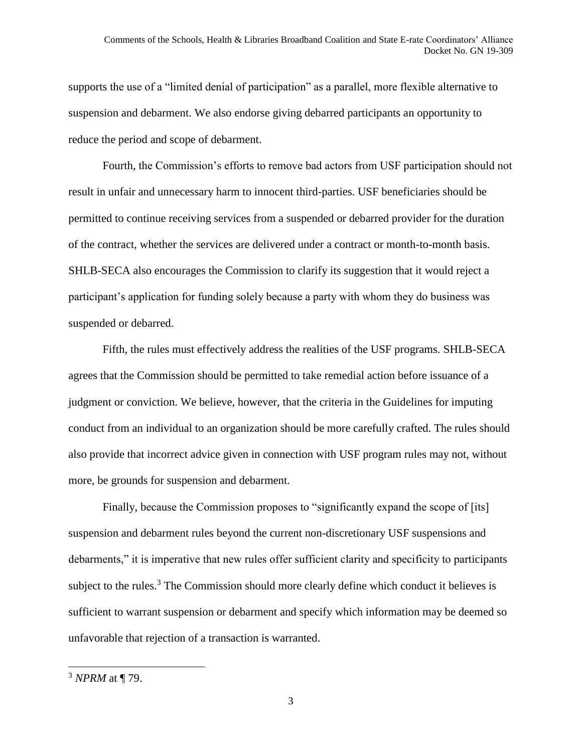supports the use of a "limited denial of participation" as a parallel, more flexible alternative to suspension and debarment. We also endorse giving debarred participants an opportunity to reduce the period and scope of debarment.

Fourth, the Commission's efforts to remove bad actors from USF participation should not result in unfair and unnecessary harm to innocent third-parties. USF beneficiaries should be permitted to continue receiving services from a suspended or debarred provider for the duration of the contract, whether the services are delivered under a contract or month-to-month basis. SHLB-SECA also encourages the Commission to clarify its suggestion that it would reject a participant's application for funding solely because a party with whom they do business was suspended or debarred.

Fifth, the rules must effectively address the realities of the USF programs. SHLB-SECA agrees that the Commission should be permitted to take remedial action before issuance of a judgment or conviction. We believe, however, that the criteria in the Guidelines for imputing conduct from an individual to an organization should be more carefully crafted. The rules should also provide that incorrect advice given in connection with USF program rules may not, without more, be grounds for suspension and debarment.

Finally, because the Commission proposes to "significantly expand the scope of [its] suspension and debarment rules beyond the current non-discretionary USF suspensions and debarments," it is imperative that new rules offer sufficient clarity and specificity to participants subject to the rules.<sup>3</sup> The Commission should more clearly define which conduct it believes is sufficient to warrant suspension or debarment and specify which information may be deemed so unfavorable that rejection of a transaction is warranted.

<sup>3</sup> *NPRM* at ¶ 79.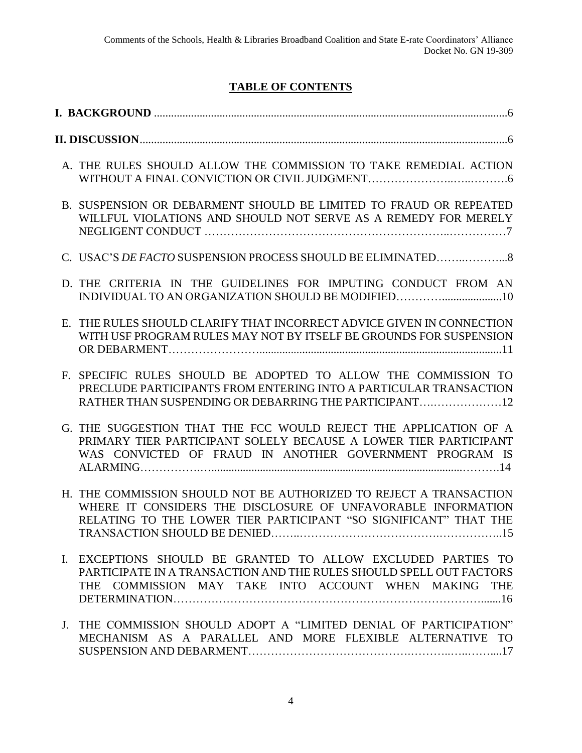# **TABLE OF CONTENTS**

|             | A. THE RULES SHOULD ALLOW THE COMMISSION TO TAKE REMEDIAL ACTION                                                                                                                                       |  |
|-------------|--------------------------------------------------------------------------------------------------------------------------------------------------------------------------------------------------------|--|
|             | B. SUSPENSION OR DEBARMENT SHOULD BE LIMITED TO FRAUD OR REPEATED<br>WILLFUL VIOLATIONS AND SHOULD NOT SERVE AS A REMEDY FOR MERELY                                                                    |  |
|             |                                                                                                                                                                                                        |  |
|             | D. THE CRITERIA IN THE GUIDELINES FOR IMPUTING CONDUCT FROM AN                                                                                                                                         |  |
| Е.          | THE RULES SHOULD CLARIFY THAT INCORRECT ADVICE GIVEN IN CONNECTION<br>WITH USF PROGRAM RULES MAY NOT BY ITSELF BE GROUNDS FOR SUSPENSION                                                               |  |
| $F_{\perp}$ | SPECIFIC RULES SHOULD BE ADOPTED TO ALLOW THE COMMISSION TO<br>PRECLUDE PARTICIPANTS FROM ENTERING INTO A PARTICULAR TRANSACTION<br>RATHER THAN SUSPENDING OR DEBARRING THE PARTICIPANT 12             |  |
|             | G. THE SUGGESTION THAT THE FCC WOULD REJECT THE APPLICATION OF A<br>PRIMARY TIER PARTICIPANT SOLELY BECAUSE A LOWER TIER PARTICIPANT<br>WAS CONVICTED OF FRAUD IN ANOTHER GOVERNMENT PROGRAM IS        |  |
|             | H. THE COMMISSION SHOULD NOT BE AUTHORIZED TO REJECT A TRANSACTION<br>WHERE IT CONSIDERS THE DISCLOSURE OF UNFAVORABLE INFORMATION<br>RELATING TO THE LOWER TIER PARTICIPANT "SO SIGNIFICANT" THAT THE |  |
|             | I. EXCEPTIONS SHOULD BE GRANTED TO ALLOW EXCLUDED PARTIES TO<br>PARTICIPATE IN A TRANSACTION AND THE RULES SHOULD SPELL OUT FACTORS<br>THE COMMISSION MAY TAKE INTO ACCOUNT WHEN MAKING THE            |  |
| $J_{\tau}$  | THE COMMISSION SHOULD ADOPT A "LIMITED DENIAL OF PARTICIPATION"<br>MECHANISM AS A PARALLEL AND MORE FLEXIBLE ALTERNATIVE TO                                                                            |  |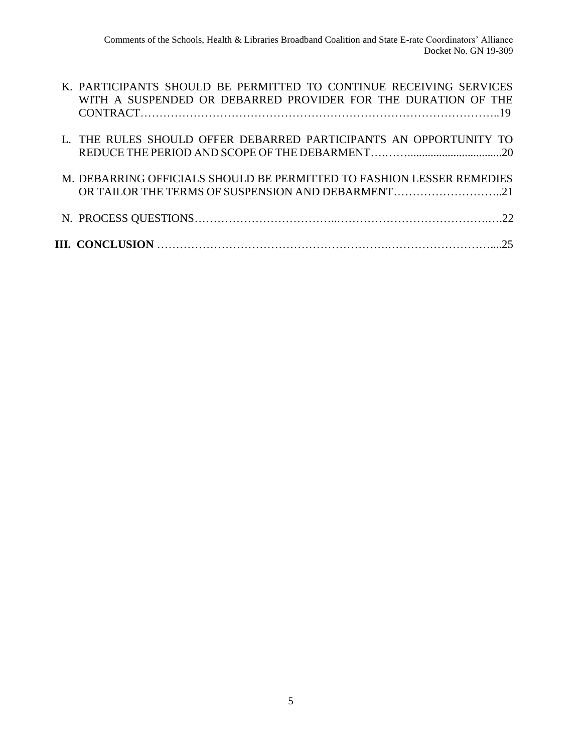| M. DEBARRING OFFICIALS SHOULD BE PERMITTED TO FASHION LESSER REMEDIES<br>OR TAILOR THE TERMS OF SUSPENSION AND DEBARMENT21          |
|-------------------------------------------------------------------------------------------------------------------------------------|
| L. THE RULES SHOULD OFFER DEBARRED PARTICIPANTS AN OPPORTUNITY TO                                                                   |
| K. PARTICIPANTS SHOULD BE PERMITTED TO CONTINUE RECEIVING SERVICES<br>WITH A SUSPENDED OR DEBARRED PROVIDER FOR THE DURATION OF THE |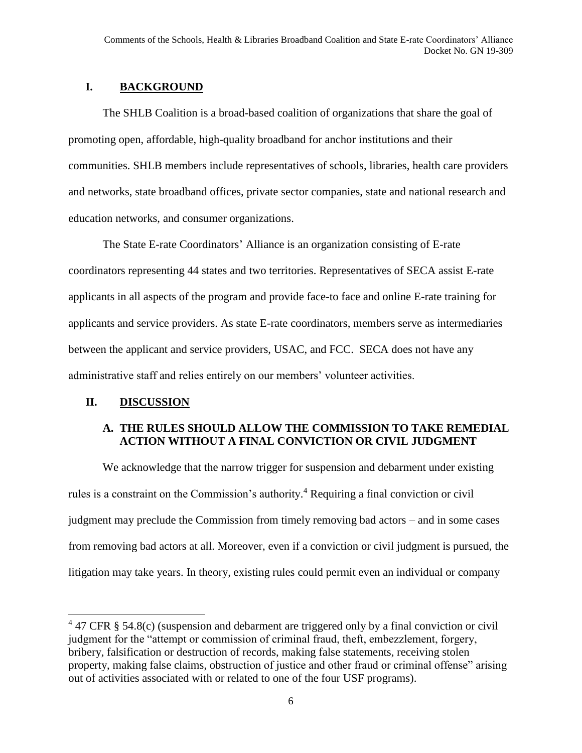# **I. BACKGROUND**

The SHLB Coalition is a broad-based coalition of organizations that share the goal of promoting open, affordable, high-quality broadband for anchor institutions and their communities. SHLB members include representatives of schools, libraries, health care providers and networks, state broadband offices, private sector companies, state and national research and education networks, and consumer organizations.

The State E-rate Coordinators' Alliance is an organization consisting of E-rate coordinators representing 44 states and two territories. Representatives of SECA assist E-rate applicants in all aspects of the program and provide face-to face and online E-rate training for applicants and service providers. As state E-rate coordinators, members serve as intermediaries between the applicant and service providers, USAC, and FCC. SECA does not have any administrative staff and relies entirely on our members' volunteer activities.

### **II. DISCUSSION**

l

# **A. THE RULES SHOULD ALLOW THE COMMISSION TO TAKE REMEDIAL ACTION WITHOUT A FINAL CONVICTION OR CIVIL JUDGMENT**

We acknowledge that the narrow trigger for suspension and debarment under existing rules is a constraint on the Commission's authority. <sup>4</sup> Requiring a final conviction or civil judgment may preclude the Commission from timely removing bad actors – and in some cases from removing bad actors at all. Moreover, even if a conviction or civil judgment is pursued, the litigation may take years. In theory, existing rules could permit even an individual or company

 $4$  47 CFR § 54.8(c) (suspension and debarment are triggered only by a final conviction or civil judgment for the "attempt or commission of criminal fraud, theft, embezzlement, forgery, bribery, falsification or destruction of records, making false statements, receiving stolen property, making false claims, obstruction of justice and other fraud or criminal offense" arising out of activities associated with or related to one of the four USF programs).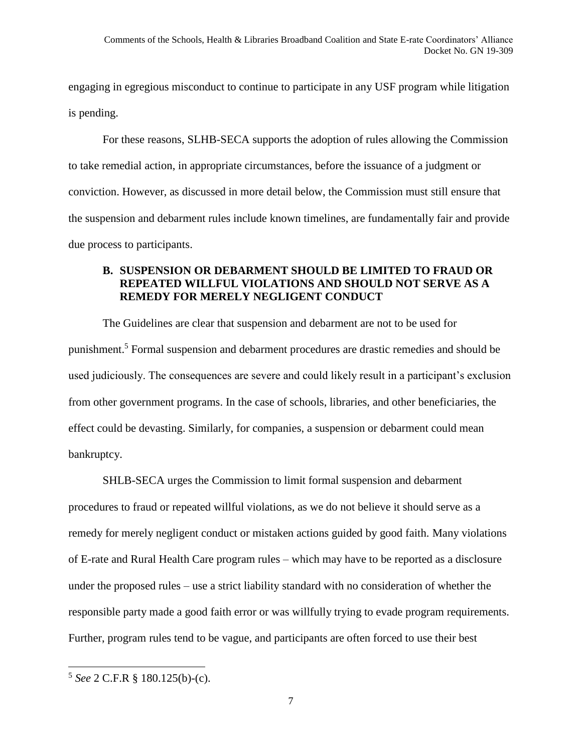engaging in egregious misconduct to continue to participate in any USF program while litigation is pending.

For these reasons, SLHB-SECA supports the adoption of rules allowing the Commission to take remedial action, in appropriate circumstances, before the issuance of a judgment or conviction. However, as discussed in more detail below, the Commission must still ensure that the suspension and debarment rules include known timelines, are fundamentally fair and provide due process to participants.

#### **B. SUSPENSION OR DEBARMENT SHOULD BE LIMITED TO FRAUD OR REPEATED WILLFUL VIOLATIONS AND SHOULD NOT SERVE AS A REMEDY FOR MERELY NEGLIGENT CONDUCT**

The Guidelines are clear that suspension and debarment are not to be used for punishment.<sup>5</sup> Formal suspension and debarment procedures are drastic remedies and should be used judiciously. The consequences are severe and could likely result in a participant's exclusion from other government programs. In the case of schools, libraries, and other beneficiaries, the effect could be devasting. Similarly, for companies, a suspension or debarment could mean bankruptcy.

SHLB-SECA urges the Commission to limit formal suspension and debarment procedures to fraud or repeated willful violations, as we do not believe it should serve as a remedy for merely negligent conduct or mistaken actions guided by good faith. Many violations of E-rate and Rural Health Care program rules – which may have to be reported as a disclosure under the proposed rules – use a strict liability standard with no consideration of whether the responsible party made a good faith error or was willfully trying to evade program requirements. Further, program rules tend to be vague, and participants are often forced to use their best

<sup>5</sup> *See* 2 C.F.R § 180.125(b)-(c).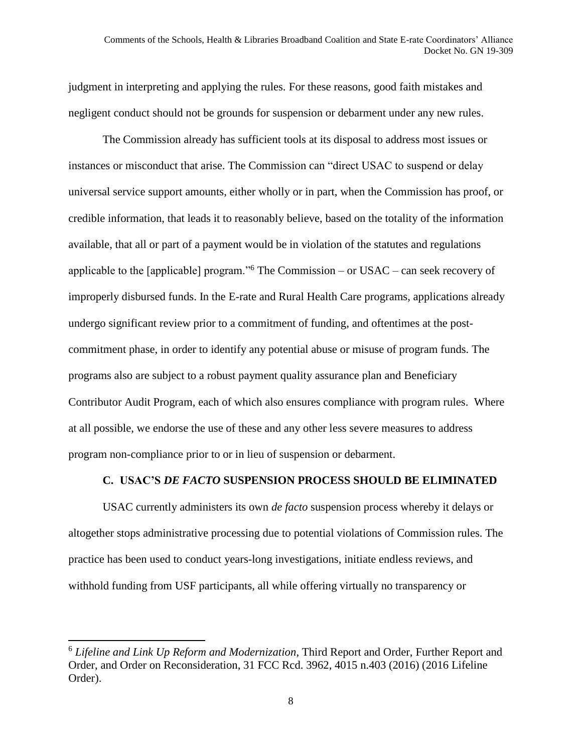judgment in interpreting and applying the rules. For these reasons, good faith mistakes and negligent conduct should not be grounds for suspension or debarment under any new rules.

The Commission already has sufficient tools at its disposal to address most issues or instances or misconduct that arise. The Commission can "direct USAC to suspend or delay universal service support amounts, either wholly or in part, when the Commission has proof, or credible information, that leads it to reasonably believe, based on the totality of the information available, that all or part of a payment would be in violation of the statutes and regulations applicable to the [applicable] program."<sup>6</sup> The Commission – or USAC – can seek recovery of improperly disbursed funds. In the E-rate and Rural Health Care programs, applications already undergo significant review prior to a commitment of funding, and oftentimes at the postcommitment phase, in order to identify any potential abuse or misuse of program funds. The programs also are subject to a robust payment quality assurance plan and Beneficiary Contributor Audit Program, each of which also ensures compliance with program rules. Where at all possible, we endorse the use of these and any other less severe measures to address program non-compliance prior to or in lieu of suspension or debarment.

#### **C. USAC'S** *DE FACTO* **SUSPENSION PROCESS SHOULD BE ELIMINATED**

USAC currently administers its own *de facto* suspension process whereby it delays or altogether stops administrative processing due to potential violations of Commission rules. The practice has been used to conduct years-long investigations, initiate endless reviews, and withhold funding from USF participants, all while offering virtually no transparency or

 $\overline{\phantom{a}}$ 

<sup>6</sup> *Lifeline and Link Up Reform and Modernization*, Third Report and Order, Further Report and Order, and Order on Reconsideration, 31 FCC Rcd. 3962, 4015 n.403 (2016) (2016 Lifeline Order).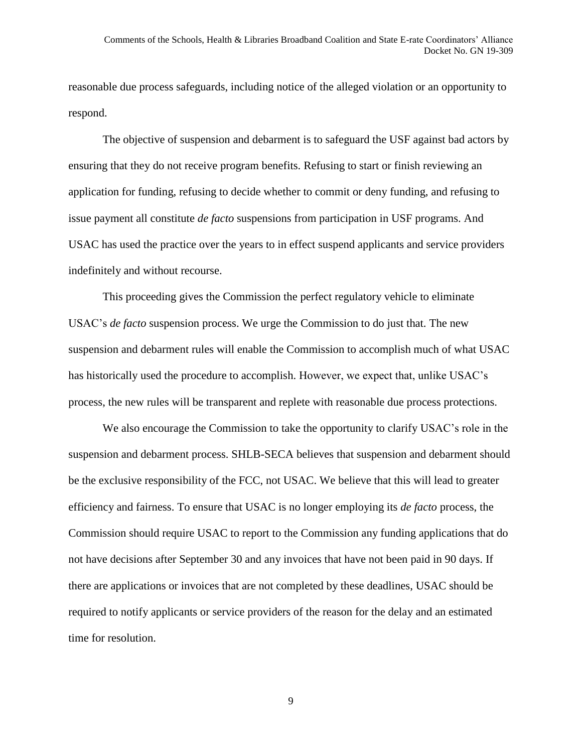reasonable due process safeguards, including notice of the alleged violation or an opportunity to respond.

The objective of suspension and debarment is to safeguard the USF against bad actors by ensuring that they do not receive program benefits. Refusing to start or finish reviewing an application for funding, refusing to decide whether to commit or deny funding, and refusing to issue payment all constitute *de facto* suspensions from participation in USF programs. And USAC has used the practice over the years to in effect suspend applicants and service providers indefinitely and without recourse.

This proceeding gives the Commission the perfect regulatory vehicle to eliminate USAC's *de facto* suspension process. We urge the Commission to do just that. The new suspension and debarment rules will enable the Commission to accomplish much of what USAC has historically used the procedure to accomplish. However, we expect that, unlike USAC's process, the new rules will be transparent and replete with reasonable due process protections.

We also encourage the Commission to take the opportunity to clarify USAC's role in the suspension and debarment process. SHLB-SECA believes that suspension and debarment should be the exclusive responsibility of the FCC, not USAC. We believe that this will lead to greater efficiency and fairness. To ensure that USAC is no longer employing its *de facto* process, the Commission should require USAC to report to the Commission any funding applications that do not have decisions after September 30 and any invoices that have not been paid in 90 days. If there are applications or invoices that are not completed by these deadlines, USAC should be required to notify applicants or service providers of the reason for the delay and an estimated time for resolution.

9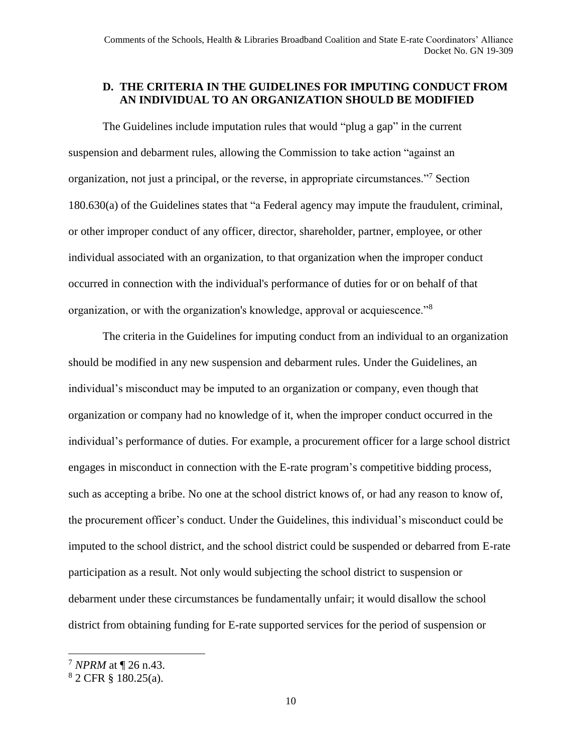#### **D. THE CRITERIA IN THE GUIDELINES FOR IMPUTING CONDUCT FROM AN INDIVIDUAL TO AN ORGANIZATION SHOULD BE MODIFIED**

The Guidelines include imputation rules that would "plug a gap" in the current suspension and debarment rules, allowing the Commission to take action "against an organization, not just a principal, or the reverse, in appropriate circumstances."<sup>7</sup> Section 180.630(a) of the Guidelines states that "a Federal agency may impute the fraudulent, criminal, or other improper conduct of any officer, director, shareholder, partner, employee, or other individual associated with an organization, to that organization when the improper conduct occurred in connection with the individual's performance of duties for or on behalf of that organization, or with the organization's knowledge, approval or acquiescence."<sup>8</sup>

The criteria in the Guidelines for imputing conduct from an individual to an organization should be modified in any new suspension and debarment rules. Under the Guidelines, an individual's misconduct may be imputed to an organization or company, even though that organization or company had no knowledge of it, when the improper conduct occurred in the individual's performance of duties. For example, a procurement officer for a large school district engages in misconduct in connection with the E-rate program's competitive bidding process, such as accepting a bribe. No one at the school district knows of, or had any reason to know of, the procurement officer's conduct. Under the Guidelines, this individual's misconduct could be imputed to the school district, and the school district could be suspended or debarred from E-rate participation as a result. Not only would subjecting the school district to suspension or debarment under these circumstances be fundamentally unfair; it would disallow the school district from obtaining funding for E-rate supported services for the period of suspension or

 $\overline{a}$ 

<sup>7</sup> *NPRM* at ¶ 26 n.43.

<sup>8</sup> 2 CFR § 180.25(a).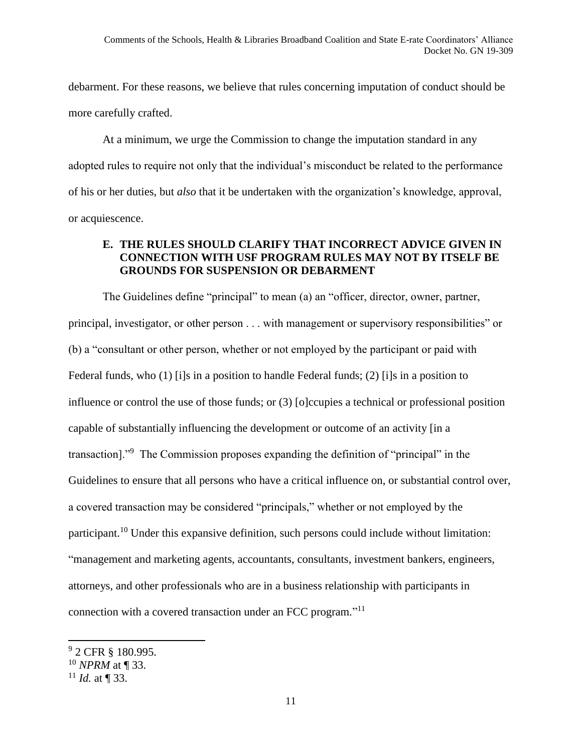debarment. For these reasons, we believe that rules concerning imputation of conduct should be more carefully crafted.

At a minimum, we urge the Commission to change the imputation standard in any adopted rules to require not only that the individual's misconduct be related to the performance of his or her duties, but *also* that it be undertaken with the organization's knowledge, approval, or acquiescence.

# **E. THE RULES SHOULD CLARIFY THAT INCORRECT ADVICE GIVEN IN CONNECTION WITH USF PROGRAM RULES MAY NOT BY ITSELF BE GROUNDS FOR SUSPENSION OR DEBARMENT**

The Guidelines define "principal" to mean (a) an "officer, director, owner, partner, principal, investigator, or other person . . . with management or supervisory responsibilities" or (b) a "consultant or other person, whether or not employed by the participant or paid with Federal funds, who (1) [i]s in a position to handle Federal funds; (2) [i]s in a position to influence or control the use of those funds; or (3) [o]ccupies a technical or professional position capable of substantially influencing the development or outcome of an activity [in a transaction]."<sup>9</sup> The Commission proposes expanding the definition of "principal" in the Guidelines to ensure that all persons who have a critical influence on, or substantial control over, a covered transaction may be considered "principals," whether or not employed by the participant.<sup>10</sup> Under this expansive definition, such persons could include without limitation: "management and marketing agents, accountants, consultants, investment bankers, engineers, attorneys, and other professionals who are in a business relationship with participants in connection with a covered transaction under an FCC program." 11

 $\overline{\phantom{a}}$ 

<sup>&</sup>lt;sup>9</sup> 2 CFR § 180.995.

<sup>10</sup> *NPRM* at ¶ 33.

 $11$  *Id.* at ¶ 33.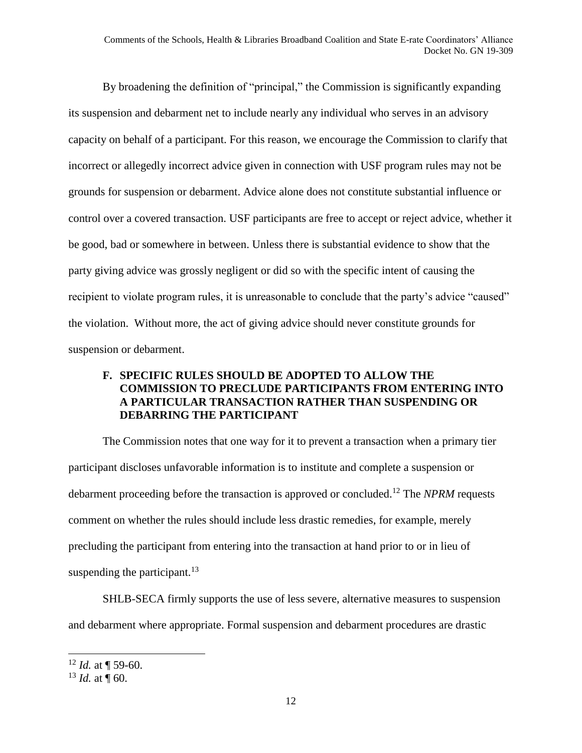By broadening the definition of "principal," the Commission is significantly expanding its suspension and debarment net to include nearly any individual who serves in an advisory capacity on behalf of a participant. For this reason, we encourage the Commission to clarify that incorrect or allegedly incorrect advice given in connection with USF program rules may not be grounds for suspension or debarment. Advice alone does not constitute substantial influence or control over a covered transaction. USF participants are free to accept or reject advice, whether it be good, bad or somewhere in between. Unless there is substantial evidence to show that the party giving advice was grossly negligent or did so with the specific intent of causing the recipient to violate program rules, it is unreasonable to conclude that the party's advice "caused" the violation. Without more, the act of giving advice should never constitute grounds for suspension or debarment.

### **F. SPECIFIC RULES SHOULD BE ADOPTED TO ALLOW THE COMMISSION TO PRECLUDE PARTICIPANTS FROM ENTERING INTO A PARTICULAR TRANSACTION RATHER THAN SUSPENDING OR DEBARRING THE PARTICIPANT**

The Commission notes that one way for it to prevent a transaction when a primary tier participant discloses unfavorable information is to institute and complete a suspension or debarment proceeding before the transaction is approved or concluded.<sup>12</sup> The *NPRM* requests comment on whether the rules should include less drastic remedies, for example, merely precluding the participant from entering into the transaction at hand prior to or in lieu of suspending the participant. $^{13}$ 

SHLB-SECA firmly supports the use of less severe, alternative measures to suspension and debarment where appropriate. Formal suspension and debarment procedures are drastic

 $\overline{a}$ 

 $12$  *Id.* at ¶ 59-60.

 $13$  *Id.* at  $\frac{1}{9}$  60.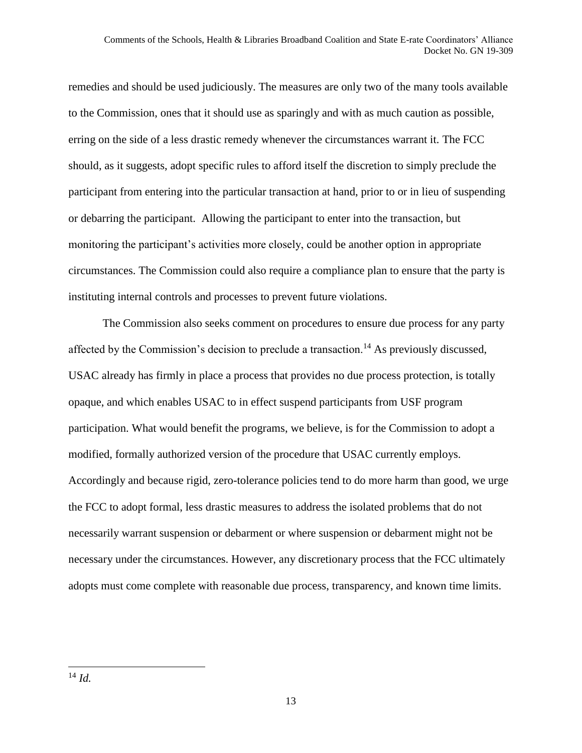remedies and should be used judiciously. The measures are only two of the many tools available to the Commission, ones that it should use as sparingly and with as much caution as possible, erring on the side of a less drastic remedy whenever the circumstances warrant it. The FCC should, as it suggests, adopt specific rules to afford itself the discretion to simply preclude the participant from entering into the particular transaction at hand, prior to or in lieu of suspending or debarring the participant. Allowing the participant to enter into the transaction, but monitoring the participant's activities more closely, could be another option in appropriate circumstances. The Commission could also require a compliance plan to ensure that the party is instituting internal controls and processes to prevent future violations.

The Commission also seeks comment on procedures to ensure due process for any party affected by the Commission's decision to preclude a transaction.<sup>14</sup> As previously discussed, USAC already has firmly in place a process that provides no due process protection, is totally opaque, and which enables USAC to in effect suspend participants from USF program participation. What would benefit the programs, we believe, is for the Commission to adopt a modified, formally authorized version of the procedure that USAC currently employs. Accordingly and because rigid, zero-tolerance policies tend to do more harm than good, we urge the FCC to adopt formal, less drastic measures to address the isolated problems that do not necessarily warrant suspension or debarment or where suspension or debarment might not be necessary under the circumstances. However, any discretionary process that the FCC ultimately adopts must come complete with reasonable due process, transparency, and known time limits.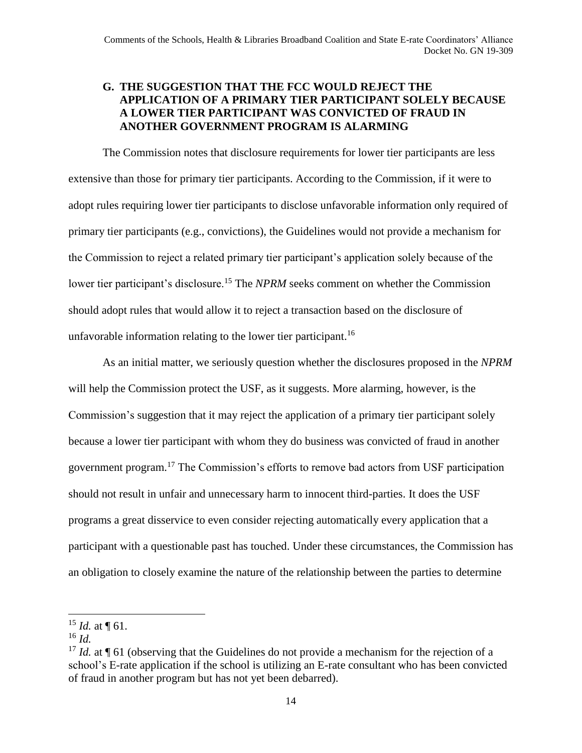### **G. THE SUGGESTION THAT THE FCC WOULD REJECT THE APPLICATION OF A PRIMARY TIER PARTICIPANT SOLELY BECAUSE A LOWER TIER PARTICIPANT WAS CONVICTED OF FRAUD IN ANOTHER GOVERNMENT PROGRAM IS ALARMING**

The Commission notes that disclosure requirements for lower tier participants are less extensive than those for primary tier participants. According to the Commission, if it were to adopt rules requiring lower tier participants to disclose unfavorable information only required of primary tier participants (e.g., convictions), the Guidelines would not provide a mechanism for the Commission to reject a related primary tier participant's application solely because of the lower tier participant's disclosure.<sup>15</sup> The *NPRM* seeks comment on whether the Commission should adopt rules that would allow it to reject a transaction based on the disclosure of unfavorable information relating to the lower tier participant.<sup>16</sup>

As an initial matter, we seriously question whether the disclosures proposed in the *NPRM* will help the Commission protect the USF, as it suggests. More alarming, however, is the Commission's suggestion that it may reject the application of a primary tier participant solely because a lower tier participant with whom they do business was convicted of fraud in another government program.<sup>17</sup> The Commission's efforts to remove bad actors from USF participation should not result in unfair and unnecessary harm to innocent third-parties. It does the USF programs a great disservice to even consider rejecting automatically every application that a participant with a questionable past has touched. Under these circumstances, the Commission has an obligation to closely examine the nature of the relationship between the parties to determine

 $15$  *Id.* at  $\P$  61.

<sup>16</sup> *Id.*

<sup>&</sup>lt;sup>17</sup> *Id.* at ¶ 61 (observing that the Guidelines do not provide a mechanism for the rejection of a school's E-rate application if the school is utilizing an E-rate consultant who has been convicted of fraud in another program but has not yet been debarred).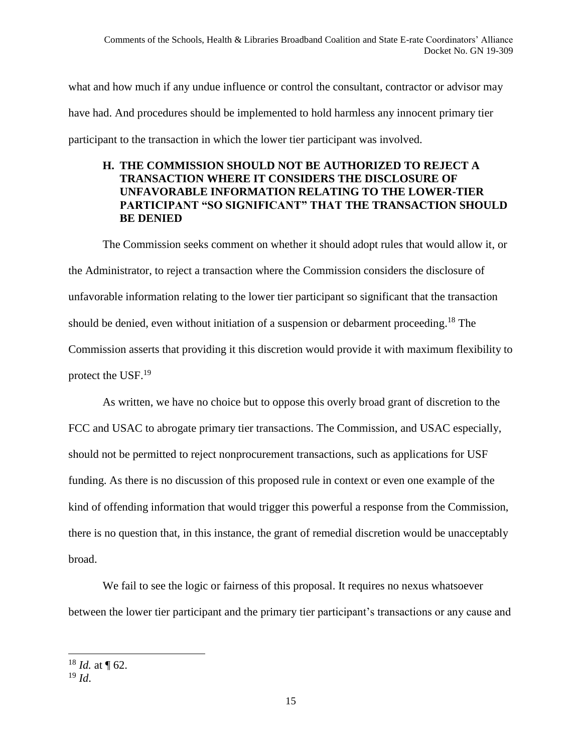what and how much if any undue influence or control the consultant, contractor or advisor may have had. And procedures should be implemented to hold harmless any innocent primary tier participant to the transaction in which the lower tier participant was involved.

#### **H. THE COMMISSION SHOULD NOT BE AUTHORIZED TO REJECT A TRANSACTION WHERE IT CONSIDERS THE DISCLOSURE OF UNFAVORABLE INFORMATION RELATING TO THE LOWER-TIER PARTICIPANT "SO SIGNIFICANT" THAT THE TRANSACTION SHOULD BE DENIED**

The Commission seeks comment on whether it should adopt rules that would allow it, or the Administrator, to reject a transaction where the Commission considers the disclosure of unfavorable information relating to the lower tier participant so significant that the transaction should be denied, even without initiation of a suspension or debarment proceeding. <sup>18</sup> The Commission asserts that providing it this discretion would provide it with maximum flexibility to protect the USF.<sup>19</sup>

As written, we have no choice but to oppose this overly broad grant of discretion to the FCC and USAC to abrogate primary tier transactions. The Commission, and USAC especially, should not be permitted to reject nonprocurement transactions, such as applications for USF funding. As there is no discussion of this proposed rule in context or even one example of the kind of offending information that would trigger this powerful a response from the Commission, there is no question that, in this instance, the grant of remedial discretion would be unacceptably broad.

We fail to see the logic or fairness of this proposal. It requires no nexus whatsoever between the lower tier participant and the primary tier participant's transactions or any cause and

 $\overline{a}$  $18$  *Id.* at ¶ 62.

<sup>19</sup> *Id*.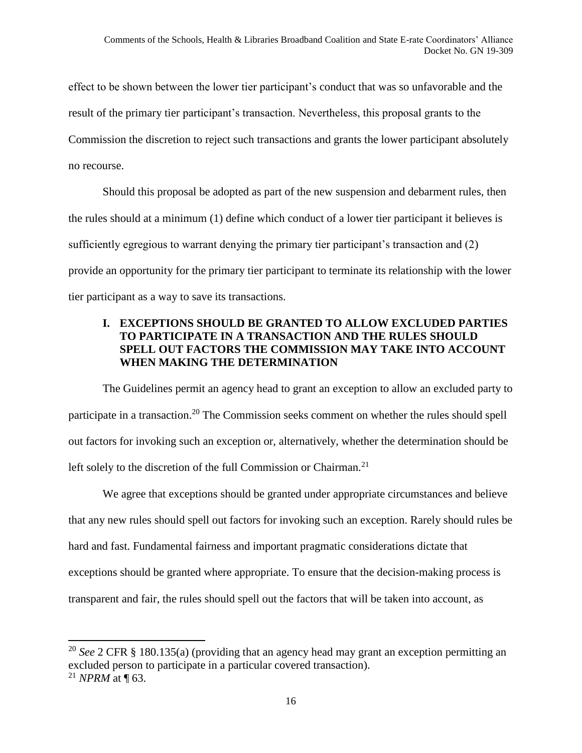effect to be shown between the lower tier participant's conduct that was so unfavorable and the result of the primary tier participant's transaction. Nevertheless, this proposal grants to the Commission the discretion to reject such transactions and grants the lower participant absolutely no recourse.

Should this proposal be adopted as part of the new suspension and debarment rules, then the rules should at a minimum (1) define which conduct of a lower tier participant it believes is sufficiently egregious to warrant denying the primary tier participant's transaction and (2) provide an opportunity for the primary tier participant to terminate its relationship with the lower tier participant as a way to save its transactions.

### **I. EXCEPTIONS SHOULD BE GRANTED TO ALLOW EXCLUDED PARTIES TO PARTICIPATE IN A TRANSACTION AND THE RULES SHOULD SPELL OUT FACTORS THE COMMISSION MAY TAKE INTO ACCOUNT WHEN MAKING THE DETERMINATION**

The Guidelines permit an agency head to grant an exception to allow an excluded party to participate in a transaction.<sup>20</sup> The Commission seeks comment on whether the rules should spell out factors for invoking such an exception or, alternatively, whether the determination should be left solely to the discretion of the full Commission or Chairman.<sup>21</sup>

We agree that exceptions should be granted under appropriate circumstances and believe that any new rules should spell out factors for invoking such an exception. Rarely should rules be hard and fast. Fundamental fairness and important pragmatic considerations dictate that exceptions should be granted where appropriate. To ensure that the decision-making process is transparent and fair, the rules should spell out the factors that will be taken into account, as

 $\overline{\phantom{a}}$ 

<sup>20</sup> *See* 2 CFR § 180.135(a) (providing that an agency head may grant an exception permitting an excluded person to participate in a particular covered transaction). <sup>21</sup> *NPRM* at ¶ 63.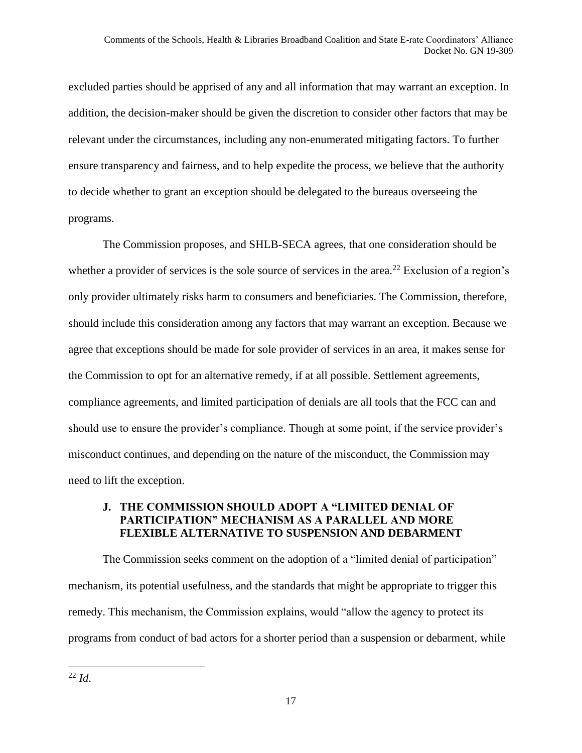excluded parties should be apprised of any and all information that may warrant an exception. In addition, the decision-maker should be given the discretion to consider other factors that may be relevant under the circumstances, including any non-enumerated mitigating factors. To further ensure transparency and fairness, and to help expedite the process, we believe that the authority to decide whether to grant an exception should be delegated to the bureaus overseeing the programs.

The Commission proposes, and SHLB-SECA agrees, that one consideration should be whether a provider of services is the sole source of services in the area.<sup>22</sup> Exclusion of a region's only provider ultimately risks harm to consumers and beneficiaries. The Commission, therefore, should include this consideration among any factors that may warrant an exception. Because we agree that exceptions should be made for sole provider of services in an area, it makes sense for the Commission to opt for an alternative remedy, if at all possible. Settlement agreements, compliance agreements, and limited participation of denials are all tools that the FCC can and should use to ensure the provider's compliance. Though at some point, if the service provider's misconduct continues, and depending on the nature of the misconduct, the Commission may need to lift the exception.

# **J. THE COMMISSION SHOULD ADOPT A "LIMITED DENIAL OF PARTICIPATION" MECHANISM AS A PARALLEL AND MORE FLEXIBLE ALTERNATIVE TO SUSPENSION AND DEBARMENT**

The Commission seeks comment on the adoption of a "limited denial of participation" mechanism, its potential usefulness, and the standards that might be appropriate to trigger this remedy. This mechanism, the Commission explains, would "allow the agency to protect its programs from conduct of bad actors for a shorter period than a suspension or debarment, while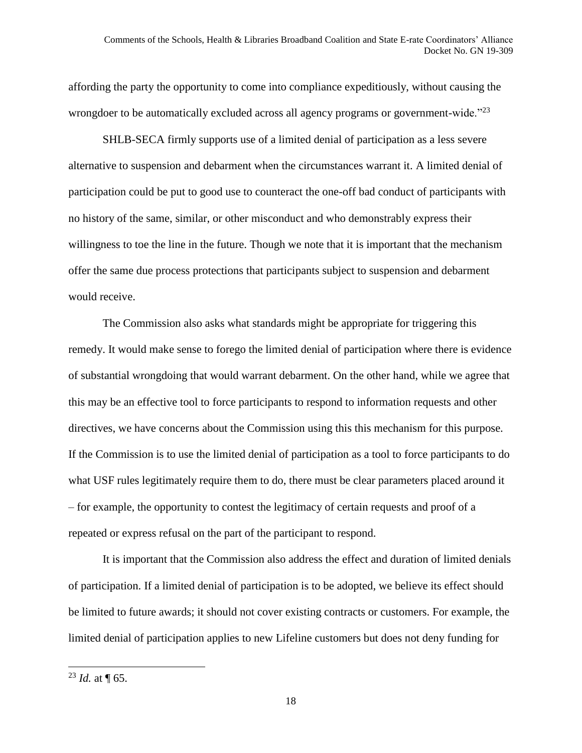affording the party the opportunity to come into compliance expeditiously, without causing the wrongdoer to be automatically excluded across all agency programs or government-wide."<sup>23</sup>

SHLB-SECA firmly supports use of a limited denial of participation as a less severe alternative to suspension and debarment when the circumstances warrant it. A limited denial of participation could be put to good use to counteract the one-off bad conduct of participants with no history of the same, similar, or other misconduct and who demonstrably express their willingness to toe the line in the future. Though we note that it is important that the mechanism offer the same due process protections that participants subject to suspension and debarment would receive.

The Commission also asks what standards might be appropriate for triggering this remedy. It would make sense to forego the limited denial of participation where there is evidence of substantial wrongdoing that would warrant debarment. On the other hand, while we agree that this may be an effective tool to force participants to respond to information requests and other directives, we have concerns about the Commission using this this mechanism for this purpose. If the Commission is to use the limited denial of participation as a tool to force participants to do what USF rules legitimately require them to do, there must be clear parameters placed around it – for example, the opportunity to contest the legitimacy of certain requests and proof of a repeated or express refusal on the part of the participant to respond.

It is important that the Commission also address the effect and duration of limited denials of participation. If a limited denial of participation is to be adopted, we believe its effect should be limited to future awards; it should not cover existing contracts or customers. For example, the limited denial of participation applies to new Lifeline customers but does not deny funding for

 $^{23}$  *Id.* at  $\P$  65.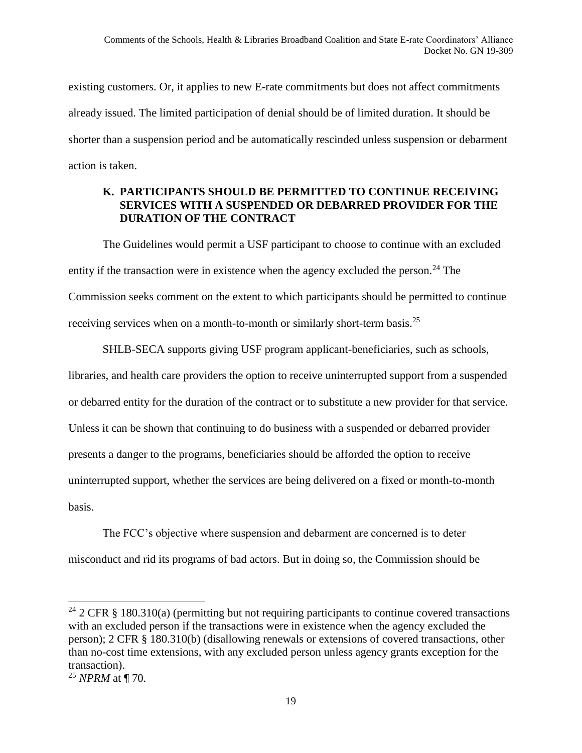existing customers. Or, it applies to new E-rate commitments but does not affect commitments already issued. The limited participation of denial should be of limited duration. It should be shorter than a suspension period and be automatically rescinded unless suspension or debarment action is taken.

#### **K. PARTICIPANTS SHOULD BE PERMITTED TO CONTINUE RECEIVING SERVICES WITH A SUSPENDED OR DEBARRED PROVIDER FOR THE DURATION OF THE CONTRACT**

The Guidelines would permit a USF participant to choose to continue with an excluded entity if the transaction were in existence when the agency excluded the person.<sup>24</sup> The Commission seeks comment on the extent to which participants should be permitted to continue receiving services when on a month-to-month or similarly short-term basis.<sup>25</sup>

SHLB-SECA supports giving USF program applicant-beneficiaries, such as schools, libraries, and health care providers the option to receive uninterrupted support from a suspended or debarred entity for the duration of the contract or to substitute a new provider for that service. Unless it can be shown that continuing to do business with a suspended or debarred provider presents a danger to the programs, beneficiaries should be afforded the option to receive uninterrupted support, whether the services are being delivered on a fixed or month-to-month basis.

The FCC's objective where suspension and debarment are concerned is to deter misconduct and rid its programs of bad actors. But in doing so, the Commission should be

<sup>&</sup>lt;sup>24</sup> 2 CFR § 180.310(a) (permitting but not requiring participants to continue covered transactions with an excluded person if the transactions were in existence when the agency excluded the person); 2 CFR § 180.310(b) (disallowing renewals or extensions of covered transactions, other than no-cost time extensions, with any excluded person unless agency grants exception for the transaction).

<sup>25</sup> *NPRM* at ¶ 70.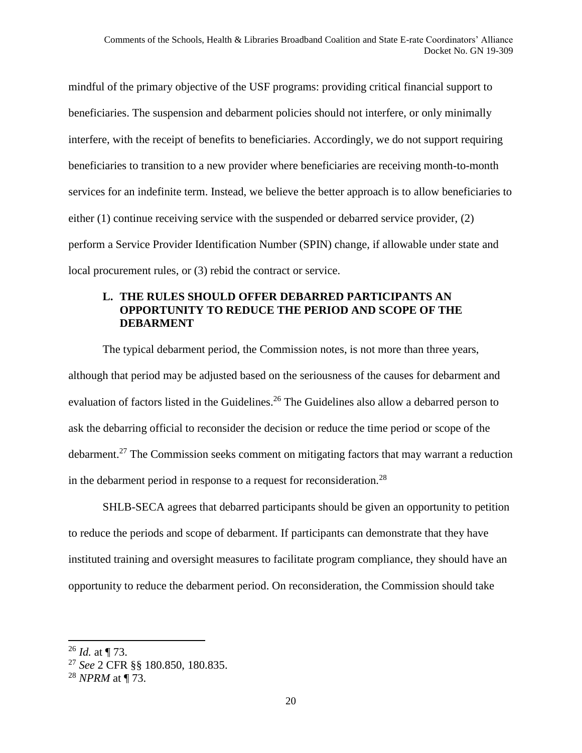mindful of the primary objective of the USF programs: providing critical financial support to beneficiaries. The suspension and debarment policies should not interfere, or only minimally interfere, with the receipt of benefits to beneficiaries. Accordingly, we do not support requiring beneficiaries to transition to a new provider where beneficiaries are receiving month-to-month services for an indefinite term. Instead, we believe the better approach is to allow beneficiaries to either (1) continue receiving service with the suspended or debarred service provider, (2) perform a Service Provider Identification Number (SPIN) change, if allowable under state and local procurement rules, or (3) rebid the contract or service.

#### **L. THE RULES SHOULD OFFER DEBARRED PARTICIPANTS AN OPPORTUNITY TO REDUCE THE PERIOD AND SCOPE OF THE DEBARMENT**

The typical debarment period, the Commission notes, is not more than three years, although that period may be adjusted based on the seriousness of the causes for debarment and evaluation of factors listed in the Guidelines.<sup>26</sup> The Guidelines also allow a debarred person to ask the debarring official to reconsider the decision or reduce the time period or scope of the debarment.<sup>27</sup> The Commission seeks comment on mitigating factors that may warrant a reduction in the debarment period in response to a request for reconsideration.<sup>28</sup>

SHLB-SECA agrees that debarred participants should be given an opportunity to petition to reduce the periods and scope of debarment. If participants can demonstrate that they have instituted training and oversight measures to facilitate program compliance, they should have an opportunity to reduce the debarment period. On reconsideration, the Commission should take

<sup>26</sup> *Id.* at ¶ 73.

<sup>27</sup> *See* 2 CFR §§ 180.850, 180.835.

<sup>28</sup> *NPRM* at ¶ 73.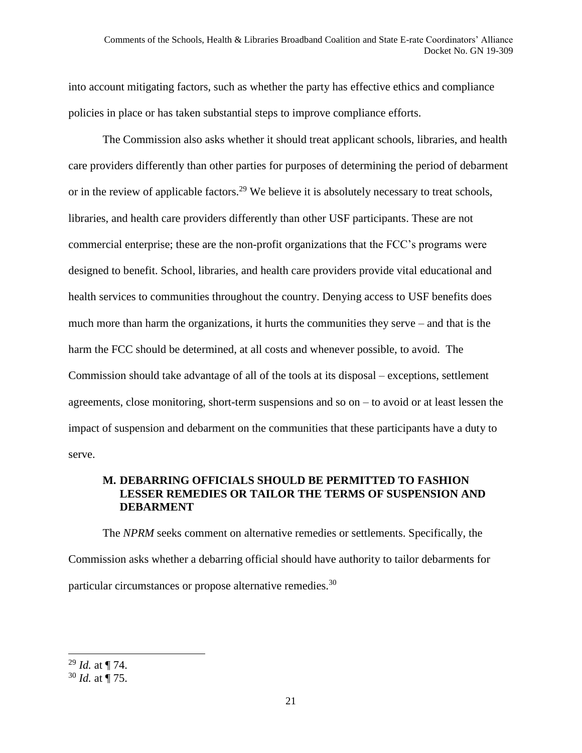into account mitigating factors, such as whether the party has effective ethics and compliance policies in place or has taken substantial steps to improve compliance efforts.

The Commission also asks whether it should treat applicant schools, libraries, and health care providers differently than other parties for purposes of determining the period of debarment or in the review of applicable factors.<sup>29</sup> We believe it is absolutely necessary to treat schools, libraries, and health care providers differently than other USF participants. These are not commercial enterprise; these are the non-profit organizations that the FCC's programs were designed to benefit. School, libraries, and health care providers provide vital educational and health services to communities throughout the country. Denying access to USF benefits does much more than harm the organizations, it hurts the communities they serve – and that is the harm the FCC should be determined, at all costs and whenever possible, to avoid. The Commission should take advantage of all of the tools at its disposal – exceptions, settlement agreements, close monitoring, short-term suspensions and so on – to avoid or at least lessen the impact of suspension and debarment on the communities that these participants have a duty to serve.

### **M. DEBARRING OFFICIALS SHOULD BE PERMITTED TO FASHION LESSER REMEDIES OR TAILOR THE TERMS OF SUSPENSION AND DEBARMENT**

The *NPRM* seeks comment on alternative remedies or settlements. Specifically, the Commission asks whether a debarring official should have authority to tailor debarments for particular circumstances or propose alternative remedies.<sup>30</sup>

 $\overline{a}$ 

<sup>29</sup> *Id.* at ¶ 74.

<sup>30</sup> *Id.* at ¶ 75.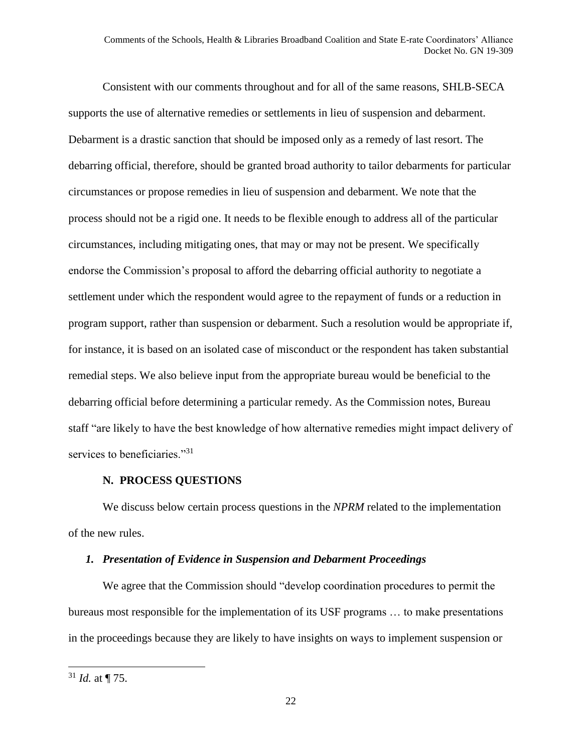Consistent with our comments throughout and for all of the same reasons, SHLB-SECA supports the use of alternative remedies or settlements in lieu of suspension and debarment. Debarment is a drastic sanction that should be imposed only as a remedy of last resort. The debarring official, therefore, should be granted broad authority to tailor debarments for particular circumstances or propose remedies in lieu of suspension and debarment. We note that the process should not be a rigid one. It needs to be flexible enough to address all of the particular circumstances, including mitigating ones, that may or may not be present. We specifically endorse the Commission's proposal to afford the debarring official authority to negotiate a settlement under which the respondent would agree to the repayment of funds or a reduction in program support, rather than suspension or debarment. Such a resolution would be appropriate if, for instance, it is based on an isolated case of misconduct or the respondent has taken substantial remedial steps. We also believe input from the appropriate bureau would be beneficial to the debarring official before determining a particular remedy. As the Commission notes, Bureau staff "are likely to have the best knowledge of how alternative remedies might impact delivery of services to beneficiaries."<sup>31</sup>

#### **N. PROCESS QUESTIONS**

We discuss below certain process questions in the *NPRM* related to the implementation of the new rules.

### *1. Presentation of Evidence in Suspension and Debarment Proceedings*

We agree that the Commission should "develop coordination procedures to permit the bureaus most responsible for the implementation of its USF programs … to make presentations in the proceedings because they are likely to have insights on ways to implement suspension or

 $31$  *Id.* at  $\P$  75.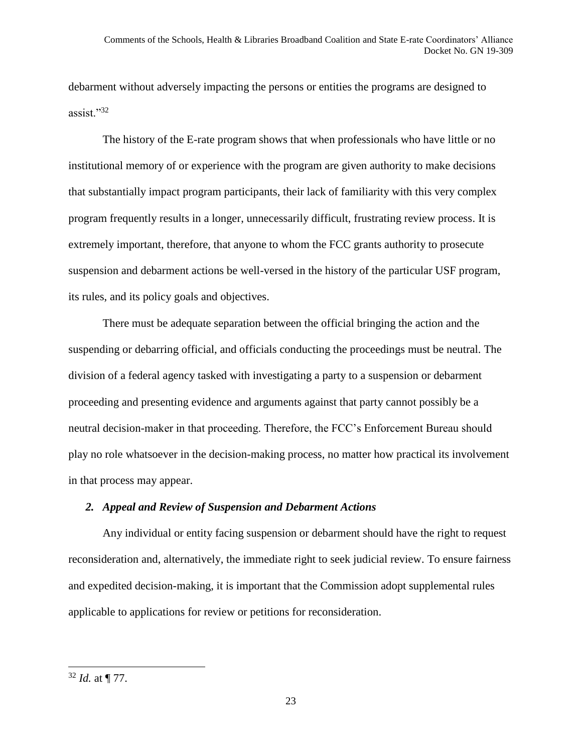debarment without adversely impacting the persons or entities the programs are designed to assist."<sup>32</sup>

The history of the E-rate program shows that when professionals who have little or no institutional memory of or experience with the program are given authority to make decisions that substantially impact program participants, their lack of familiarity with this very complex program frequently results in a longer, unnecessarily difficult, frustrating review process. It is extremely important, therefore, that anyone to whom the FCC grants authority to prosecute suspension and debarment actions be well-versed in the history of the particular USF program, its rules, and its policy goals and objectives.

There must be adequate separation between the official bringing the action and the suspending or debarring official, and officials conducting the proceedings must be neutral. The division of a federal agency tasked with investigating a party to a suspension or debarment proceeding and presenting evidence and arguments against that party cannot possibly be a neutral decision-maker in that proceeding. Therefore, the FCC's Enforcement Bureau should play no role whatsoever in the decision-making process, no matter how practical its involvement in that process may appear.

#### *2. Appeal and Review of Suspension and Debarment Actions*

Any individual or entity facing suspension or debarment should have the right to request reconsideration and, alternatively, the immediate right to seek judicial review. To ensure fairness and expedited decision-making, it is important that the Commission adopt supplemental rules applicable to applications for review or petitions for reconsideration.

<sup>32</sup> *Id.* at ¶ 77.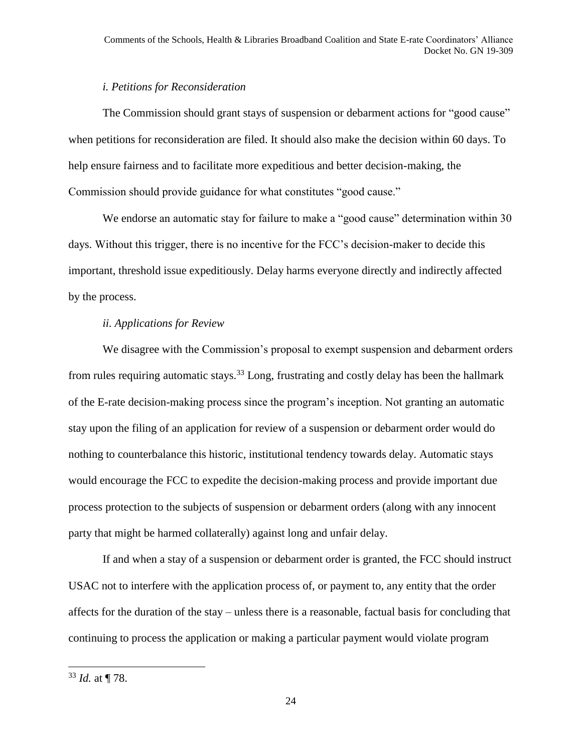#### *i. Petitions for Reconsideration*

The Commission should grant stays of suspension or debarment actions for "good cause" when petitions for reconsideration are filed. It should also make the decision within 60 days. To help ensure fairness and to facilitate more expeditious and better decision-making, the Commission should provide guidance for what constitutes "good cause."

We endorse an automatic stay for failure to make a "good cause" determination within 30 days. Without this trigger, there is no incentive for the FCC's decision-maker to decide this important, threshold issue expeditiously. Delay harms everyone directly and indirectly affected by the process.

# *ii. Applications for Review*

We disagree with the Commission's proposal to exempt suspension and debarment orders from rules requiring automatic stays.<sup>33</sup> Long, frustrating and costly delay has been the hallmark of the E-rate decision-making process since the program's inception. Not granting an automatic stay upon the filing of an application for review of a suspension or debarment order would do nothing to counterbalance this historic, institutional tendency towards delay. Automatic stays would encourage the FCC to expedite the decision-making process and provide important due process protection to the subjects of suspension or debarment orders (along with any innocent party that might be harmed collaterally) against long and unfair delay.

If and when a stay of a suspension or debarment order is granted, the FCC should instruct USAC not to interfere with the application process of, or payment to, any entity that the order affects for the duration of the stay – unless there is a reasonable, factual basis for concluding that continuing to process the application or making a particular payment would violate program

<sup>33</sup> *Id.* at ¶ 78.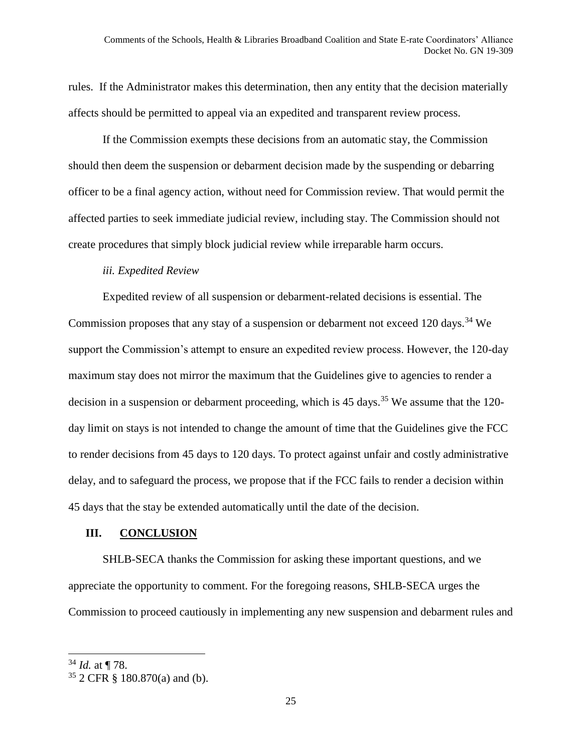rules. If the Administrator makes this determination, then any entity that the decision materially affects should be permitted to appeal via an expedited and transparent review process.

If the Commission exempts these decisions from an automatic stay, the Commission should then deem the suspension or debarment decision made by the suspending or debarring officer to be a final agency action, without need for Commission review. That would permit the affected parties to seek immediate judicial review, including stay. The Commission should not create procedures that simply block judicial review while irreparable harm occurs.

#### *iii. Expedited Review*

Expedited review of all suspension or debarment-related decisions is essential. The Commission proposes that any stay of a suspension or debarment not exceed 120 days.<sup>34</sup> We support the Commission's attempt to ensure an expedited review process. However, the 120-day maximum stay does not mirror the maximum that the Guidelines give to agencies to render a decision in a suspension or debarment proceeding, which is 45 days.<sup>35</sup> We assume that the 120day limit on stays is not intended to change the amount of time that the Guidelines give the FCC to render decisions from 45 days to 120 days. To protect against unfair and costly administrative delay, and to safeguard the process, we propose that if the FCC fails to render a decision within 45 days that the stay be extended automatically until the date of the decision.

#### **III. CONCLUSION**

SHLB-SECA thanks the Commission for asking these important questions, and we appreciate the opportunity to comment. For the foregoing reasons, SHLB-SECA urges the Commission to proceed cautiously in implementing any new suspension and debarment rules and

 $\overline{a}$ <sup>34</sup> *Id.* at ¶ 78.

<sup>35</sup> 2 CFR § 180.870(a) and (b).